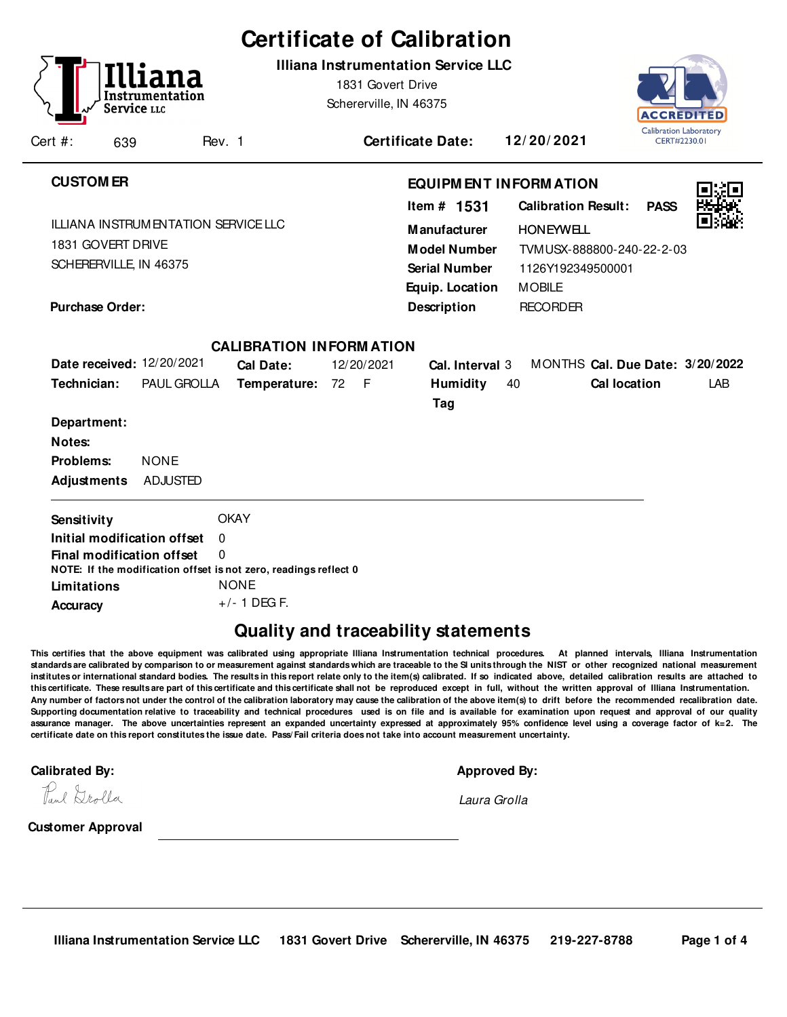|                                                                                               |                 |                                |                 |                   | <b>Certificate of Calibration</b>                                                                    |    |                                                                                                                   |                                                          |     |
|-----------------------------------------------------------------------------------------------|-----------------|--------------------------------|-----------------|-------------------|------------------------------------------------------------------------------------------------------|----|-------------------------------------------------------------------------------------------------------------------|----------------------------------------------------------|-----|
| Service LLC<br>Cert #:<br>639                                                                 | Instrumentation | Rev. 1                         |                 | 1831 Govert Drive | Illiana Instrumentation Service LLC<br>Schererville, IN 46375<br><b>Certificate Date:</b>            |    | 12/20/2021                                                                                                        | CCREDIT<br><b>Calibration Laboratory</b><br>CERT#2230.01 |     |
|                                                                                               |                 |                                |                 |                   |                                                                                                      |    |                                                                                                                   |                                                          |     |
| <b>CUSTOMER</b>                                                                               |                 |                                |                 |                   | <b>EQUIPM ENT INFORM ATION</b>                                                                       |    |                                                                                                                   |                                                          |     |
| ILLIANA INSTRUMENTATION SERVICE LLC<br>1831 GOVERT DRIVE<br>SCHERERVILLE, IN 46375            |                 |                                |                 |                   | Item # 1531<br><b>Manufacturer</b><br><b>Model Number</b><br><b>Serial Number</b><br>Equip. Location |    | <b>Calibration Result:</b><br><b>HONEYWELL</b><br>TVMUSX-888800-240-22-2-03<br>1126Y192349500001<br><b>MOBILE</b> | <b>PASS</b>                                              |     |
| <b>Purchase Order:</b>                                                                        |                 |                                |                 |                   | <b>Description</b>                                                                                   |    | <b>RECORDER</b>                                                                                                   |                                                          |     |
|                                                                                               |                 | <b>CALIBRATION INFORMATION</b> |                 |                   |                                                                                                      |    |                                                                                                                   |                                                          |     |
| Date received: 12/20/2021                                                                     |                 | <b>Cal Date:</b>               |                 | 12/20/2021        | Cal. Interval 3                                                                                      |    | MONTHS Cal. Due Date: 3/20/2022                                                                                   |                                                          |     |
| Technician:                                                                                   | PAUL GROLLA     |                                | Temperature: 72 | - F               | Humidity<br>Tag                                                                                      | 40 | <b>Cal location</b>                                                                                               |                                                          | LAB |
| Department:                                                                                   |                 |                                |                 |                   |                                                                                                      |    |                                                                                                                   |                                                          |     |
| Notes:                                                                                        |                 |                                |                 |                   |                                                                                                      |    |                                                                                                                   |                                                          |     |
| Problems:                                                                                     | <b>NONE</b>     |                                |                 |                   |                                                                                                      |    |                                                                                                                   |                                                          |     |
| <b>Adjustments</b>                                                                            | <b>ADJUSTED</b> |                                |                 |                   |                                                                                                      |    |                                                                                                                   |                                                          |     |
| Sensitivity                                                                                   |                 | <b>OKAY</b>                    |                 |                   |                                                                                                      |    |                                                                                                                   |                                                          |     |
| Initial modification offset                                                                   |                 | $\Omega$                       |                 |                   |                                                                                                      |    |                                                                                                                   |                                                          |     |
| Final modification offset<br>NOTE: If the modification offset is not zero, readings reflect 0 |                 | $\mathbf 0$                    |                 |                   |                                                                                                      |    |                                                                                                                   |                                                          |     |
| Limitations                                                                                   |                 | <b>NONE</b>                    |                 |                   |                                                                                                      |    |                                                                                                                   |                                                          |     |
| <b>Accuracy</b>                                                                               |                 | $+/- 1$ DEG F.                 |                 |                   |                                                                                                      |    |                                                                                                                   |                                                          |     |
|                                                                                               |                 |                                |                 |                   |                                                                                                      |    |                                                                                                                   |                                                          |     |

## **Quality and traceability statements**

**This certifies that the above equipment was calibrated using appropriate Illiana Instrumentation technical procedures. At planned intervals, Illiana Instrumentation standards are calibrated by comparison to or measurement against standards which are traceable to the SI units through the NIST or other recognized national measurement institutes or international standard bodies. The results in this report relate only to the item(s) calibrated. If so indicated above, detailed calibration results are attached to this certificate. These results are part of this certificate and this certificate shall not be reproduced except in full, without the written approval of Illiana Instrumentation. Any number of factors not under the control of the calibration laboratory may cause the calibration of the above item(s) to drift before the recommended recalibration date. Supporting documentation relative to traceability and technical procedures used is on file and is available for examination upon request and approval of our quality assurance manager. The above uncertainties represent an expanded uncertainty expressed at approximately 95% confidence level using a coverage factor of k=2. The certificate date on this report constitutes the issue date. Pass/ Fail criteria does not take into account measurement uncertainty.**-

**Calibrated By: Approved By: Approved By: Approved By: Approved By: Approved By: Approved By: Approved By: Approved By: Approved By: Approved By: Approved By: Approved By: Approved By: Approved** 

| Approved By: |  |
|--------------|--|
|              |  |
|              |  |

Laura Grolla

Paul Drolla

**Customer Approval**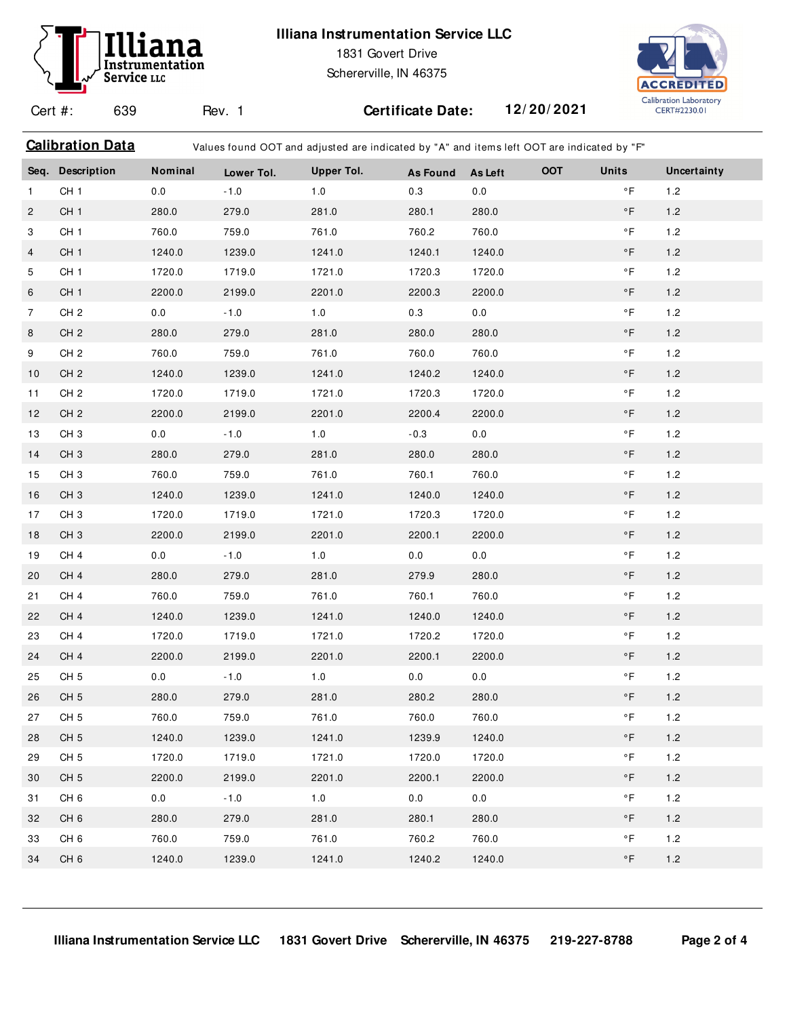# ion Instrumenta Service LLC

#### **Illiana Instrumentation Service LLC**

1831 Govert Drive

Schererville, IN 46375

Calibration Data **Values found OOT and adjusted are indicated by "A"** and items left OOT are indicated by "F"



Cert #: 639

Rev. 1 **Certificate Date: 12/ 20/ 2021**

|                | Seq. Description | Nominal | Lower Tol. | <b>Upper Tol.</b> | <b>As Found</b> | <b>As Left</b> | OOT | <b>Units</b>        | Uncertainty |
|----------------|------------------|---------|------------|-------------------|-----------------|----------------|-----|---------------------|-------------|
| $\mathbf{1}$   | CH <sub>1</sub>  | 0.0     | $-1.0$     | 1.0               | 0.3             | 0.0            |     | $\circ$ F           | 1.2         |
| $\overline{2}$ | CH <sub>1</sub>  | 280.0   | 279.0      | 281.0             | 280.1           | 280.0          |     | $\circ$ F           | $1.2\,$     |
| 3              | CH <sub>1</sub>  | 760.0   | 759.0      | 761.0             | 760.2           | 760.0          |     | $^\circ \mathsf{F}$ | $1.2\,$     |
| $\overline{4}$ | CH <sub>1</sub>  | 1240.0  | 1239.0     | 1241.0            | 1240.1          | 1240.0         |     | $\circ$ F           | 1.2         |
| 5              | CH <sub>1</sub>  | 1720.0  | 1719.0     | 1721.0            | 1720.3          | 1720.0         |     | $\circ$ F           | 1.2         |
| 6              | CH <sub>1</sub>  | 2200.0  | 2199.0     | 2201.0            | 2200.3          | 2200.0         |     | $\circ$ F           | $1.2\,$     |
| $\overline{7}$ | CH <sub>2</sub>  | 0.0     | $-1.0$     | 1.0               | 0.3             | 0.0            |     | $^\circ \mathsf{F}$ | $1.2\,$     |
| 8              | CH <sub>2</sub>  | 280.0   | 279.0      | 281.0             | 280.0           | 280.0          |     | $\circ$ F           | 1.2         |
| 9              | CH <sub>2</sub>  | 760.0   | 759.0      | 761.0             | 760.0           | 760.0          |     | $^\circ \mathsf{F}$ | 1.2         |
| 10             | CH <sub>2</sub>  | 1240.0  | 1239.0     | 1241.0            | 1240.2          | 1240.0         |     | $\circ$ F           | 1.2         |
| 11             | CH <sub>2</sub>  | 1720.0  | 1719.0     | 1721.0            | 1720.3          | 1720.0         |     | $^\circ \mathsf{F}$ | 1.2         |
| 12             | CH <sub>2</sub>  | 2200.0  | 2199.0     | 2201.0            | 2200.4          | 2200.0         |     | $\circ$ F           | $1.2\,$     |
| 13             | CH <sub>3</sub>  | 0.0     | $-1.0$     | 1.0               | $-0.3$          | 0.0            |     | $\circ$ F           | 1.2         |
| 14             | CH <sub>3</sub>  | 280.0   | 279.0      | 281.0             | 280.0           | 280.0          |     | $\circ$ F           | $1.2\,$     |
| 15             | CH <sub>3</sub>  | 760.0   | 759.0      | 761.0             | 760.1           | 760.0          |     | $^\circ \mathsf{F}$ | $1.2$       |
| 16             | CH <sub>3</sub>  | 1240.0  | 1239.0     | 1241.0            | 1240.0          | 1240.0         |     | $\circ$ F           | 1.2         |
| 17             | CH <sub>3</sub>  | 1720.0  | 1719.0     | 1721.0            | 1720.3          | 1720.0         |     | $\circ$ F           | 1.2         |
| 18             | CH <sub>3</sub>  | 2200.0  | 2199.0     | 2201.0            | 2200.1          | 2200.0         |     | $\circ$ F           | $1.2\,$     |
| 19             | CH <sub>4</sub>  | 0.0     | $-1.0$     | 1.0               | 0.0             | 0.0            |     | $^\circ \mathsf{F}$ | 1.2         |
| 20             | CH <sub>4</sub>  | 280.0   | 279.0      | 281.0             | 279.9           | 280.0          |     | $\circ$ F           | 1.2         |
| 21             | CH <sub>4</sub>  | 760.0   | 759.0      | 761.0             | 760.1           | 760.0          |     | $\circ$ F           | 1.2         |
| 22             | CH <sub>4</sub>  | 1240.0  | 1239.0     | 1241.0            | 1240.0          | 1240.0         |     | $\circ$ F           | $1.2\,$     |
| 23             | CH <sub>4</sub>  | 1720.0  | 1719.0     | 1721.0            | 1720.2          | 1720.0         |     | $^\circ \mathsf{F}$ | $1.2$       |
| 24             | CH <sub>4</sub>  | 2200.0  | 2199.0     | 2201.0            | 2200.1          | 2200.0         |     | $\circ$ F           | $1.2\,$     |
| 25             | CH <sub>5</sub>  | 0.0     | $-1.0$     | 1.0               | 0.0             | 0.0            |     | $^\circ \mathsf{F}$ | 1.2         |
| 26             | CH <sub>5</sub>  | 280.0   | 279.0      | 281.0             | 280.2           | 280.0          |     | $\circ$ F           | $1.2$       |
| 27             | CH <sub>5</sub>  | 760.0   | 759.0      | 761.0             | 760.0           | 760.0          |     | $\circ$ F           | $1.2$       |
| 28             | CH <sub>5</sub>  | 1240.0  | 1239.0     | 1241.0            | 1239.9          | 1240.0         |     | $\circ$ F           | $1.2$       |
| 29             | CH <sub>5</sub>  | 1720.0  | 1719.0     | 1721.0            | 1720.0          | 1720.0         |     | °F                  | 1.2         |
| 30             | CH <sub>5</sub>  | 2200.0  | 2199.0     | 2201.0            | 2200.1          | 2200.0         |     | $\circ$ F           | $1.2\,$     |
| 31             | CH <sub>6</sub>  | 0.0     | $-1.0$     | 1.0               | 0.0             | 0.0            |     | $\circ$ F           | $1.2\,$     |
| 32             | CH <sub>6</sub>  | 280.0   | 279.0      | 281.0             | 280.1           | 280.0          |     | $\circ$ F           | 1.2         |
| 33             | CH <sub>6</sub>  | 760.0   | 759.0      | 761.0             | 760.2           | 760.0          |     | $\circ$ F           | 1.2         |
| 34             | CH <sub>6</sub>  | 1240.0  | 1239.0     | 1241.0            | 1240.2          | 1240.0         |     | $\circ$ F           | 1.2         |
|                |                  |         |            |                   |                 |                |     |                     |             |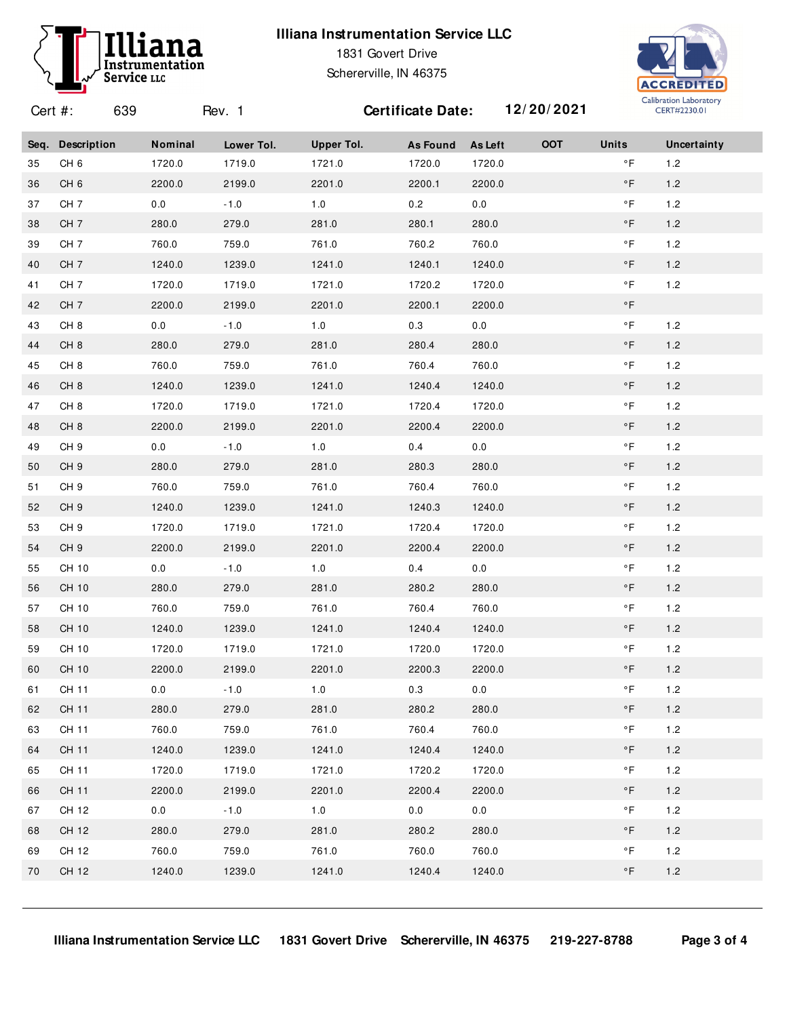#### **Illiana Instrumentation Service LLC**



1831 Govert Drive Schererville, IN 46375



Cert #: 639 Rev. 1 **Certificate Date: 12/ 20/ 2021 Seq. Description Nominal Lower Tol. Upper Tol. As Found As Left OOT Units Uncertainty** CH 6 1720.0 1719.0 1721.0 1720.0 1720.0 °F 1.2 CH 6 2200.0 2199.0 2201.0 2200.1 2200.0 °F 1.2 CH 7 0.0 -1.0 1.0 0.2 0.0 1.2 °F CH 7 280.0 279.0 281.0 280.1 280.0 °F 1.2 CH 7 760.0 759.0 761.0 760.2 760.0 °F 1.2 CH 7 1240.0 1239.0 1241.0 1240.1 1240.0 °F 1.2 CH 7 1720.0 1719.0 1721.0 1720.2 1720.0 °F 1.2 CH 7 2200.0 2199.0 2201.0 2200.1 2200.0 °F CH 8 0.0 -1.0 1.0 0.3 0.0 1.2 °F CH 8 280.0 279.0 281.0 280.4 280.0 °F 1.2 CH 8 760.0 759.0 761.0 760.4 760.0 °F 1.2 CH 8 1240.0 1239.0 1241.0 1240.4 1240.0 °F 1.2 CH 8 1720.0 1719.0 1721.0 1720.4 1720.0 °F 1.2 CH 8 2200.0 2199.0 2201.0 2200.4 2200.0 °F 1.2 CH 9 0.0 -1.0 1.0 0.4 0.0 1.2 °F CH 9 280.0 279.0 281.0 280.3 280.0 °F 1.2 CH 9 760.0 759.0 761.0 760.4 760.0 °F 1.2 CH 9 1240.0 1239.0 1241.0 1240.3 1240.0 °F 1.2 CH 9 1720.0 1719.0 1721.0 1720.4 1720.0 °F 1.2 CH 9 2200.0 2199.0 2201.0 2200.4 2200.0 °F 1.2 CH 10 0.0 -1.0 1.0 0.4 0.0 1.2 °F CH 10 280.0 279.0 281.0 280.2 280.0 °F 1.2 CH 10 760.0 759.0 761.0 760.4 760.0 °F 1.2 CH 10 1240.0 1239.0 1241.0 1240.4 1240.0 °F 1.2 CH 10 1720.0 1719.0 1721.0 1720.0 1720.0 °F 1.2 CH 10 2200.0 2199.0 2201.0 2200.3 2200.0 °F 1.2 CH 11 0.0 -1.0 1.0 0.3 0.0 1.2 °F CH 11 280.0 279.0 281.0 280.2 280.0 °F 1.2 CH 11 760.0 759.0 761.0 760.4 760.0 °F 1.2 CH 11 1240.0 1239.0 1241.0 1240.4 1240.0 °F 1.2 CH 11 1720.0 1719.0 1721.0 1720.2 1720.0 °F 1.2 CH 11 2200.0 2199.0 2201.0 2200.4 2200.0 °F 1.2 67 CH 12 0.0 -1.0 1.0 0.0 0.0 0.0 °F 1.2 CH 12 280.0 279.0 281.0 280.2 280.0 °F 1.2 CH 12 760.0 759.0 761.0 760.0 760.0 °F 1.2 CH 12 1240.0 1239.0 1241.0 1240.4 1240.0 °F 1.2

**Illiana Instrumentation Service LLC 1831 Govert Drive Schererville, IN 46375 219-227-8788 Page 3 of 4**